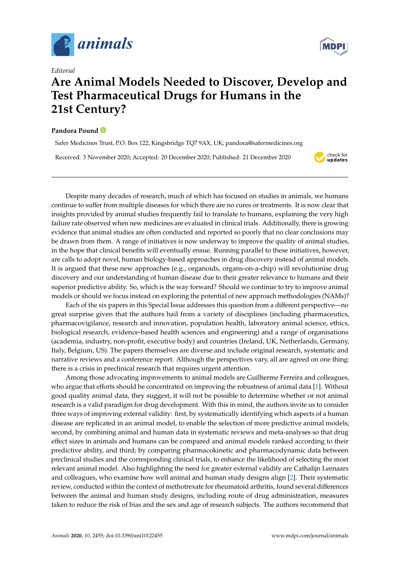

*Editorial*

## **Are Animal Models Needed to Discover, Develop and Test Pharmaceutical Drugs for Humans in the 21st Century?**

## **Pandora Pound**

Safer Medicines Trust, P.O. Box 122, Kingsbridge TQ7 9AX, UK; pandora@safermedicines.org

Received: 3 November 2020; Accepted: 20 December 2020; Published: 21 December 2020



Despite many decades of research, much of which has focused on studies in animals, we humans continue to suffer from multiple diseases for which there are no cures or treatments. It is now clear that insights provided by animal studies frequently fail to translate to humans, explaining the very high failure rate observed when new medicines are evaluated in clinical trials. Additionally, there is growing evidence that animal studies are often conducted and reported so poorly that no clear conclusions may be drawn from them. A range of initiatives is now underway to improve the quality of animal studies, in the hope that clinical benefits will eventually ensue. Running parallel to these initiatives, however, are calls to adopt novel, human biology-based approaches in drug discovery instead of animal models. It is argued that these new approaches (e.g., organoids, organs-on-a-chip) will revolutionise drug discovery and our understanding of human disease due to their greater relevance to humans and their superior predictive ability. So, which is the way forward? Should we continue to try to improve animal models or should we focus instead on exploring the potential of new approach methodologies (NAMs)?

Each of the six papers in this Special Issue addresses this question from a different perspective—no great surprise given that the authors hail from a variety of disciplines (including pharmaceutics, pharmacovigilance, research and innovation, population health, laboratory animal science, ethics, biological research, evidence-based health sciences and engineering) and a range of organisations (academia, industry, non-profit, executive body) and countries (Ireland, UK, Netherlands, Germany, Italy, Belgium, US). The papers themselves are diverse and include original research, systematic and narrative reviews and a conference report. Although the perspectives vary, all are agreed on one thing: there is a crisis in preclinical research that requires urgent attention.

Among those advocating improvements to animal models are Guilherme Ferreira and colleagues, who argue that efforts should be concentrated on improving the robustness of animal data [\[1\]](#page-4-0). Without good quality animal data, they suggest, it will not be possible to determine whether or not animal research is a valid paradigm for drug development. With this in mind, the authors invite us to consider three ways of improving external validity: first, by systematically identifying which aspects of a human disease are replicated in an animal model, to enable the selection of more predictive animal models; second, by combining animal and human data in systematic reviews and meta-analyses so that drug effect sizes in animals and humans can be compared and animal models ranked according to their predictive ability, and third; by comparing pharmacokinetic and pharmacodynamic data between preclinical studies and the corresponding clinical trials, to enhance the likelihood of selecting the most relevant animal model. Also highlighting the need for greater external validity are Cathalijn Leenaars and colleagues, who examine how well animal and human study designs align [\[2\]](#page-4-1). Their systematic review, conducted within the context of methotrexate for rheumatoid arthritis, found several differences between the animal and human study designs, including route of drug administration, measures taken to reduce the risk of bias and the sex and age of research subjects. The authors recommend that

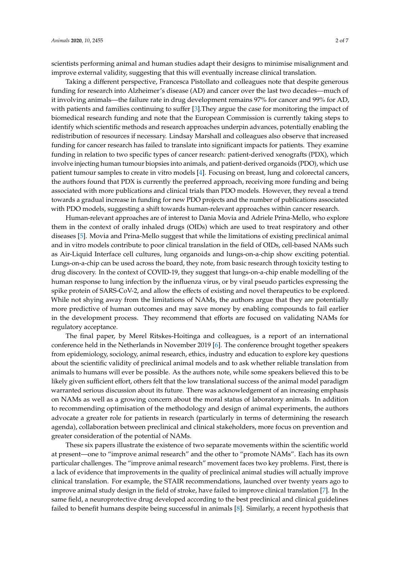scientists performing animal and human studies adapt their designs to minimise misalignment and improve external validity, suggesting that this will eventually increase clinical translation.

Taking a different perspective, Francesca Pistollato and colleagues note that despite generous funding for research into Alzheimer's disease (AD) and cancer over the last two decades—much of it involving animals—the failure rate in drug development remains 97% for cancer and 99% for AD, with patients and families continuing to suffer [\[3\]](#page-4-2).They argue the case for monitoring the impact of biomedical research funding and note that the European Commission is currently taking steps to identify which scientific methods and research approaches underpin advances, potentially enabling the redistribution of resources if necessary. Lindsay Marshall and colleagues also observe that increased funding for cancer research has failed to translate into significant impacts for patients. They examine funding in relation to two specific types of cancer research: patient-derived xenografts (PDX), which involve injecting human tumour biopsies into animals, and patient-derived organoids (PDO), which use patient tumour samples to create in vitro models [\[4\]](#page-4-3). Focusing on breast, lung and colorectal cancers, the authors found that PDX is currently the preferred approach, receiving more funding and being associated with more publications and clinical trials than PDO models. However, they reveal a trend towards a gradual increase in funding for new PDO projects and the number of publications associated with PDO models, suggesting a shift towards human-relevant approaches within cancer research.

Human-relevant approaches are of interest to Dania Movia and Adriele Prina-Mello, who explore them in the context of orally inhaled drugs (OIDs) which are used to treat respiratory and other diseases [\[5\]](#page-4-4). Movia and Prina-Mello suggest that while the limitations of existing preclinical animal and in vitro models contribute to poor clinical translation in the field of OIDs, cell-based NAMs such as Air-Liquid Interface cell cultures, lung organoids and lungs-on-a-chip show exciting potential. Lungs-on-a-chip can be used across the board, they note, from basic research through toxicity testing to drug discovery. In the context of COVID-19, they suggest that lungs-on-a-chip enable modelling of the human response to lung infection by the influenza virus, or by viral pseudo particles expressing the spike protein of SARS-CoV-2, and allow the effects of existing and novel therapeutics to be explored. While not shying away from the limitations of NAMs, the authors argue that they are potentially more predictive of human outcomes and may save money by enabling compounds to fail earlier in the development process. They recommend that efforts are focused on validating NAMs for regulatory acceptance.

The final paper, by Merel Ritskes-Hoitinga and colleagues, is a report of an international conference held in the Netherlands in November 2019 [\[6\]](#page-4-5). The conference brought together speakers from epidemiology, sociology, animal research, ethics, industry and education to explore key questions about the scientific validity of preclinical animal models and to ask whether reliable translation from animals to humans will ever be possible. As the authors note, while some speakers believed this to be likely given sufficient effort, others felt that the low translational success of the animal model paradigm warranted serious discussion about its future. There was acknowledgement of an increasing emphasis on NAMs as well as a growing concern about the moral status of laboratory animals. In addition to recommending optimisation of the methodology and design of animal experiments, the authors advocate a greater role for patients in research (particularly in terms of determining the research agenda), collaboration between preclinical and clinical stakeholders, more focus on prevention and greater consideration of the potential of NAMs.

These six papers illustrate the existence of two separate movements within the scientific world at present—one to "improve animal research" and the other to "promote NAMs". Each has its own particular challenges. The "improve animal research" movement faces two key problems. First, there is a lack of evidence that improvements in the quality of preclinical animal studies will actually improve clinical translation. For example, the STAIR recommendations, launched over twenty years ago to improve animal study design in the field of stroke, have failed to improve clinical translation [\[7\]](#page-4-6). In the same field, a neuroprotective drug developed according to the best preclinical and clinical guidelines failed to benefit humans despite being successful in animals [\[8\]](#page-4-7). Similarly, a recent hypothesis that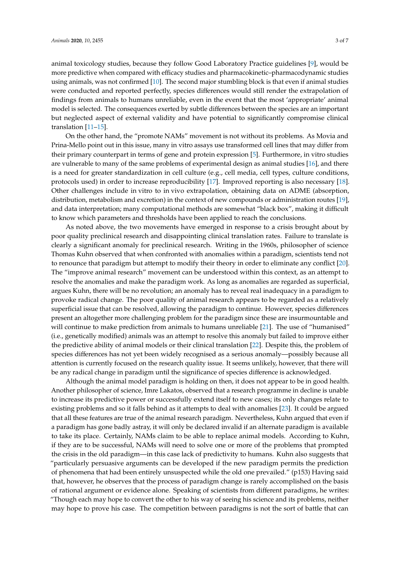animal toxicology studies, because they follow Good Laboratory Practice guidelines [\[9\]](#page-4-8), would be more predictive when compared with efficacy studies and pharmacokinetic–pharmacodynamic studies using animals, was not confirmed [\[10\]](#page-4-9). The second major stumbling block is that even if animal studies were conducted and reported perfectly, species differences would still render the extrapolation of findings from animals to humans unreliable, even in the event that the most 'appropriate' animal model is selected. The consequences exerted by subtle differences between the species are an important but neglected aspect of external validity and have potential to significantly compromise clinical translation [\[11–](#page-4-10)[15\]](#page-4-11).

On the other hand, the "promote NAMs" movement is not without its problems. As Movia and Prina-Mello point out in this issue, many in vitro assays use transformed cell lines that may differ from their primary counterpart in terms of gene and protein expression [\[5\]](#page-4-4). Furthermore, in vitro studies are vulnerable to many of the same problems of experimental design as animal studies [\[16\]](#page-5-0), and there is a need for greater standardization in cell culture (e.g., cell media, cell types, culture conditions, protocols used) in order to increase reproducibility [\[17\]](#page-5-1). Improved reporting is also necessary [\[18\]](#page-5-2). Other challenges include in vitro to in vivo extrapolation, obtaining data on ADME (absorption, distribution, metabolism and excretion) in the context of new compounds or administration routes [\[19\]](#page-5-3), and data interpretation; many computational methods are somewhat "black box", making it difficult to know which parameters and thresholds have been applied to reach the conclusions.

As noted above, the two movements have emerged in response to a crisis brought about by poor quality preclinical research and disappointing clinical translation rates. Failure to translate is clearly a significant anomaly for preclinical research. Writing in the 1960s, philosopher of science Thomas Kuhn observed that when confronted with anomalies within a paradigm, scientists tend not to renounce that paradigm but attempt to modify their theory in order to eliminate any conflict [\[20\]](#page-5-4). The "improve animal research" movement can be understood within this context, as an attempt to resolve the anomalies and make the paradigm work. As long as anomalies are regarded as superficial, argues Kuhn, there will be no revolution; an anomaly has to reveal real inadequacy in a paradigm to provoke radical change. The poor quality of animal research appears to be regarded as a relatively superficial issue that can be resolved, allowing the paradigm to continue. However, species differences present an altogether more challenging problem for the paradigm since these are insurmountable and will continue to make prediction from animals to humans unreliable [\[21\]](#page-5-5). The use of "humanised" (i.e., genetically modified) animals was an attempt to resolve this anomaly but failed to improve either the predictive ability of animal models or their clinical translation [\[22\]](#page-5-6). Despite this, the problem of species differences has not yet been widely recognised as a serious anomaly—possibly because all attention is currently focused on the research quality issue. It seems unlikely, however, that there will be any radical change in paradigm until the significance of species difference is acknowledged.

Although the animal model paradigm is holding on then, it does not appear to be in good health. Another philosopher of science, Imre Lakatos, observed that a research programme in decline is unable to increase its predictive power or successfully extend itself to new cases; its only changes relate to existing problems and so it falls behind as it attempts to deal with anomalies [\[23\]](#page-5-7). It could be argued that all these features are true of the animal research paradigm. Nevertheless, Kuhn argued that even if a paradigm has gone badly astray, it will only be declared invalid if an alternate paradigm is available to take its place. Certainly, NAMs claim to be able to replace animal models. According to Kuhn, if they are to be successful, NAMs will need to solve one or more of the problems that prompted the crisis in the old paradigm—in this case lack of predictivity to humans. Kuhn also suggests that "particularly persuasive arguments can be developed if the new paradigm permits the prediction of phenomena that had been entirely unsuspected while the old one prevailed." (p153) Having said that, however, he observes that the process of paradigm change is rarely accomplished on the basis of rational argument or evidence alone. Speaking of scientists from different paradigms, he writes: "Though each may hope to convert the other to his way of seeing his science and its problems, neither may hope to prove his case. The competition between paradigms is not the sort of battle that can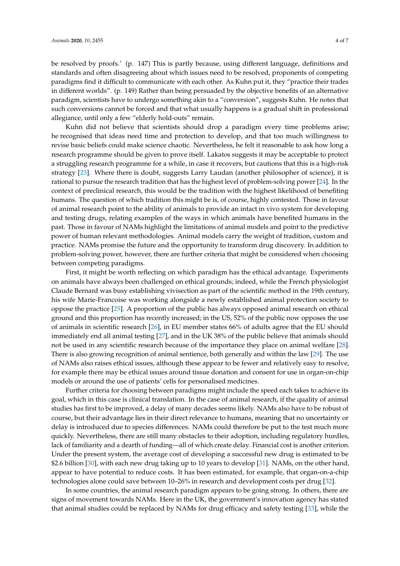be resolved by proofs.' (p. 147) This is partly because, using different language, definitions and standards and often disagreeing about which issues need to be resolved, proponents of competing paradigms find it difficult to communicate with each other. As Kuhn put it, they "practice their trades in different worlds". (p. 149) Rather than being persuaded by the objective benefits of an alternative paradigm, scientists have to undergo something akin to a "conversion", suggests Kuhn. He notes that such conversions cannot be forced and that what usually happens is a gradual shift in professional allegiance, until only a few "elderly hold-outs" remain.

Kuhn did not believe that scientists should drop a paradigm every time problems arise; he recognised that ideas need time and protection to develop, and that too much willingness to revise basic beliefs could make science chaotic. Nevertheless, he felt it reasonable to ask how long a research programme should be given to prove itself. Lakatos suggests it may be acceptable to protect a struggling research programme for a while, in case it recovers, but cautions that this is a high-risk strategy [\[23\]](#page-5-7). Where there is doubt, suggests Larry Laudan (another philosopher of science), it is rational to pursue the research tradition that has the highest level of problem-solving power [\[24\]](#page-5-8). In the context of preclinical research, this would be the tradition with the highest likelihood of benefiting humans. The question of which tradition this might be is, of course, highly contested. Those in favour of animal research point to the ability of animals to provide an intact in vivo system for developing and testing drugs, relating examples of the ways in which animals have benefited humans in the past. Those in favour of NAMs highlight the limitations of animal models and point to the predictive power of human relevant methodologies. Animal models carry the weight of tradition, custom and practice. NAMs promise the future and the opportunity to transform drug discovery. In addition to problem-solving power, however, there are further criteria that might be considered when choosing between competing paradigms.

First, it might be worth reflecting on which paradigm has the ethical advantage. Experiments on animals have always been challenged on ethical grounds; indeed, while the French physiologist Claude Bernard was busy establishing vivisection as part of the scientific method in the 19th century, his wife Marie-Francoise was working alongside a newly established animal protection society to oppose the practice [\[25\]](#page-5-9). A proportion of the public has always opposed animal research on ethical ground and this proportion has recently increased; in the US, 52% of the public now opposes the use of animals in scientific research [\[26\]](#page-5-10), in EU member states 66% of adults agree that the EU should immediately end all animal testing [\[27\]](#page-5-11), and in the UK 38% of the public believe that animals should not be used in any scientific research because of the importance they place on animal welfare [\[28\]](#page-5-12). There is also growing recognition of animal sentience, both generally and within the law [\[29\]](#page-5-13). The use of NAMs also raises ethical issues, although these appear to be fewer and relatively easy to resolve, for example there may be ethical issues around tissue donation and consent for use in organ-on-chip models or around the use of patients' cells for personalised medicines.

Further criteria for choosing between paradigms might include the speed each takes to achieve its goal, which in this case is clinical translation. In the case of animal research, if the quality of animal studies has first to be improved, a delay of many decades seems likely. NAMs also have to be robust of course, but their advantage lies in their direct relevance to humans, meaning that no uncertainty or delay is introduced due to species differences. NAMs could therefore be put to the test much more quickly. Nevertheless, there are still many obstacles to their adoption, including regulatory hurdles, lack of familiarity and a dearth of funding—all of which create delay. Financial cost is another criterion. Under the present system, the average cost of developing a successful new drug is estimated to be \$2.6 billion [\[30\]](#page-5-14), with each new drug taking up to 10 years to develop [\[31\]](#page-5-15). NAMs, on the other hand, appear to have potential to reduce costs. It has been estimated, for example, that organ-on-a-chip technologies alone could save between 10–26% in research and development costs per drug [\[32\]](#page-5-16).

In some countries, the animal research paradigm appears to be going strong. In others, there are signs of movement towards NAMs. Here in the UK, the government's innovation agency has stated that animal studies could be replaced by NAMs for drug efficacy and safety testing [\[33\]](#page-5-17), while the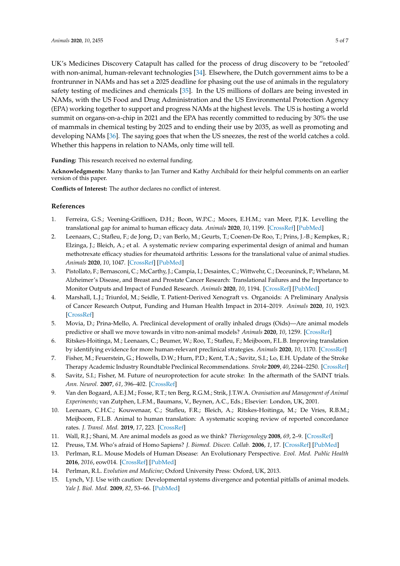UK's Medicines Discovery Catapult has called for the process of drug discovery to be "retooled' with non-animal, human-relevant technologies [\[34\]](#page-5-18). Elsewhere, the Dutch government aims to be a frontrunner in NAMs and has set a 2025 deadline for phasing out the use of animals in the regulatory safety testing of medicines and chemicals [\[35\]](#page-5-19). In the US millions of dollars are being invested in NAMs, with the US Food and Drug Administration and the US Environmental Protection Agency (EPA) working together to support and progress NAMs at the highest levels. The US is hosting a world summit on organs-on-a-chip in 2021 and the EPA has recently committed to reducing by 30% the use of mammals in chemical testing by 2025 and to ending their use by 2035, as well as promoting and developing NAMs [\[36\]](#page-6-0). The saying goes that when the US sneezes, the rest of the world catches a cold. Whether this happens in relation to NAMs, only time will tell.

**Funding:** This research received no external funding.

**Acknowledgments:** Many thanks to Jan Turner and Kathy Archibald for their helpful comments on an earlier version of this paper.

**Conflicts of Interest:** The author declares no conflict of interest.

## **References**

- <span id="page-4-0"></span>1. Ferreira, G.S.; Veening-Griffioen, D.H.; Boon, W.P.C.; Moors, E.H.M.; van Meer, P.J.K. Levelling the translational gap for animal to human efficacy data. *Animals* **2020**, *10*, 1199. [\[CrossRef\]](http://dx.doi.org/10.3390/ani10071199) [\[PubMed\]](http://www.ncbi.nlm.nih.gov/pubmed/32679706)
- <span id="page-4-1"></span>2. Leenaars, C.; Stafleu, F.; de Jong, D.; van Berlo, M.; Geurts, T.; Coenen-De Roo, T.; Prins, J.-B.; Kempkes, R.; Elzinga, J.; Bleich, A.; et al. A systematic review comparing experimental design of animal and human methotrexate efficacy studies for rheumatoid arthritis: Lessons for the translational value of animal studies. *Animals* **2020**, *10*, 1047. [\[CrossRef\]](http://dx.doi.org/10.3390/ani10061047) [\[PubMed\]](http://www.ncbi.nlm.nih.gov/pubmed/32560528)
- <span id="page-4-2"></span>3. Pistollato, F.; Bernasconi, C.; McCarthy, J.; Campia, I.; Desaintes, C.; Wittwehr, C.; Deceuninck, P.; Whelann, M. Alzheimer's Disease, and Breast and Prostate Cancer Research: Translational Failures and the Importance to Monitor Outputs and Impact of Funded Research. *Animals* **2020**, *10*, 1194. [\[CrossRef\]](http://dx.doi.org/10.3390/ani10071194) [\[PubMed\]](http://www.ncbi.nlm.nih.gov/pubmed/32674379)
- <span id="page-4-3"></span>4. Marshall, L.J.; Triunfol, M.; Seidle, T. Patient-Derived Xenograft vs. Organoids: A Preliminary Analysis of Cancer Research Output, Funding and Human Health Impact in 2014–2019. *Animals* **2020**, *10*, 1923. [\[CrossRef\]](http://dx.doi.org/10.3390/ani10101923)
- <span id="page-4-4"></span>5. Movia, D.; Prina-Mello, A. Preclinical development of orally inhaled drugs (Oids)—Are animal models predictive or shall we move towards in vitro non-animal models? *Animals* **2020**, *10*, 1259. [\[CrossRef\]](http://dx.doi.org/10.3390/ani10081259)
- <span id="page-4-5"></span>6. Ritskes-Hoitinga, M.; Leenaars, C.; Beumer, W.; Roo, T.; Stafleu, F.; Meijboom, F.L.B. Improving translation by identifying evidence for more human-relevant preclinical strategies. *Animals* **2020**, *10*, 1170. [\[CrossRef\]](http://dx.doi.org/10.3390/ani10071170)
- <span id="page-4-6"></span>7. Fisher, M.; Feuerstein, G.; Howells, D.W.; Hurn, P.D.; Kent, T.A.; Savitz, S.I.; Lo, E.H. Update of the Stroke Therapy Academic Industry Roundtable Preclinical Recommendations. *Stroke* **2009**, *40*, 2244–2250. [\[CrossRef\]](http://dx.doi.org/10.1161/STROKEAHA.108.541128)
- <span id="page-4-7"></span>8. Savitz, S.I.; Fisher, M. Future of neuroprotection for acute stroke: In the aftermath of the SAINT trials. *Ann. Neurol.* **2007**, *61*, 396–402. [\[CrossRef\]](http://dx.doi.org/10.1002/ana.21127)
- <span id="page-4-8"></span>9. Van den Bogaard, A.E.J.M.; Fosse, R.T.; ten Berg, R.G.M.; Strik, J.T.W.A. *Oranisation and Management of Animal Experiments*; van Zutphen, L.F.M., Baumans, V., Beynen, A.C., Eds.; Elsevier: London, UK, 2001.
- <span id="page-4-9"></span>10. Leenaars, C.H.C.; Kouwenaar, C.; Stafleu, F.R.; Bleich, A.; Ritskes-Hoitinga, M.; De Vries, R.B.M.; Meijboom, F.L.B. Animal to human translation: A systematic scoping review of reported concordance rates. *J. Transl. Med.* **2019**, *17*, 223. [\[CrossRef\]](http://dx.doi.org/10.1186/s12967-019-1976-2)
- <span id="page-4-10"></span>11. Wall, R.J.; Shani, M. Are animal models as good as we think? *Theriogenology* **2008**, *69*, 2–9. [\[CrossRef\]](http://dx.doi.org/10.1016/j.theriogenology.2007.09.030)
- 12. Preuss, T.M. Who's afraid of Homo Sapiens? *J. Biomed. Discov. Collab.* **2006**, *1*, 17. [\[CrossRef\]](http://dx.doi.org/10.1186/1747-5333-1-17) [\[PubMed\]](http://www.ncbi.nlm.nih.gov/pubmed/17134486)
- 13. Perlman, R.L. Mouse Models of Human Disease: An Evolutionary Perspective. *Evol. Med. Public Health* **2016**, *2016*, eow014. [\[CrossRef\]](http://dx.doi.org/10.1093/emph/eow014) [\[PubMed\]](http://www.ncbi.nlm.nih.gov/pubmed/27121451)
- 14. Perlman, R.L. *Evolution and Medicine*; Oxford University Press: Oxford, UK, 2013.
- <span id="page-4-11"></span>15. Lynch, V.J. Use with caution: Developmental systems divergence and potential pitfalls of animal models. *Yale J. Biol. Med.* **2009**, *82*, 53–66. [\[PubMed\]](http://www.ncbi.nlm.nih.gov/pubmed/19562005)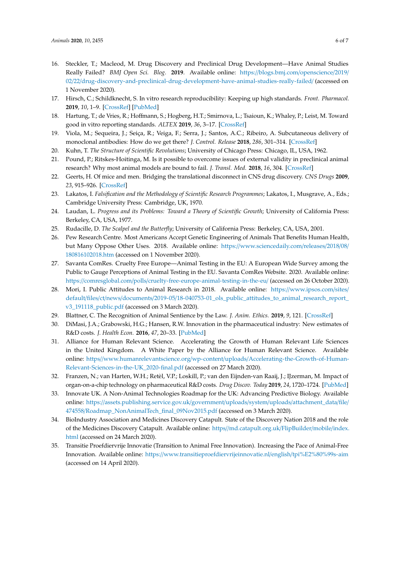- <span id="page-5-0"></span>16. Steckler, T.; Macleod, M. Drug Discovery and Preclinical Drug Development—Have Animal Studies Really Failed? *BMJ Open Sci. Blog.* **2019**. Available online: https://[blogs.bmj.com](https://blogs.bmj.com/openscience/2019/02/22/drug-discovery-and-preclinical-drug-development-have-animal-studies-really-failed/)/openscience/2019/ 02/22/[drug-discovery-and-preclinical-drug-development-have-animal-studies-really-failed](https://blogs.bmj.com/openscience/2019/02/22/drug-discovery-and-preclinical-drug-development-have-animal-studies-really-failed/)/ (accessed on 1 November 2020).
- <span id="page-5-1"></span>17. Hirsch, C.; Schildknecht, S. In vitro research reproducibility: Keeping up high standards. *Front. Pharmacol.* **2019**, *10*, 1–9. [\[CrossRef\]](http://dx.doi.org/10.3389/fphar.2019.01484) [\[PubMed\]](http://www.ncbi.nlm.nih.gov/pubmed/31920667)
- <span id="page-5-2"></span>18. Hartung, T.; de Vries, R.; Hoffmann, S.; Hogberg, H.T.; Smirnova, L.; Tsaioun, K.; Whaley, P.; Leist, M. Toward good in vitro reporting standards. *ALTEX* **2019**, *36*, 3–17. [\[CrossRef\]](http://dx.doi.org/10.14573/altex.1812191)
- <span id="page-5-3"></span>19. Viola, M.; Sequeira, J.; Seiça, R.; Veiga, F.; Serra, J.; Santos, A.C.; Ribeiro, A. Subcutaneous delivery of monoclonal antibodies: How do we get there? *J. Control. Release* **2018**, *286*, 301–314. [\[CrossRef\]](http://dx.doi.org/10.1016/j.jconrel.2018.08.001)
- <span id="page-5-4"></span>20. Kuhn, T. *The Structure of Scientific Revolutions*; University of Chicago Press: Chicago, IL, USA, 1962.
- <span id="page-5-5"></span>21. Pound, P.; Ritskes-Hoitinga, M. Is it possible to overcome issues of external validity in preclinical animal research? Why most animal models are bound to fail. *J. Transl. Med.* **2018**, *16*, 304. [\[CrossRef\]](http://dx.doi.org/10.1186/s12967-018-1678-1)
- <span id="page-5-6"></span>22. Geerts, H. Of mice and men. Bridging the translational disconnect in CNS drug discovery. *CNS Drugs* **2009**, *23*, 915–926. [\[CrossRef\]](http://dx.doi.org/10.2165/11310890-000000000-00000)
- <span id="page-5-7"></span>23. Lakatos, I. *Falsification and the Methodology of Scientific Research Programmes*; Lakatos, I., Musgrave, A., Eds.; Cambridge University Press: Cambridge, UK, 1970.
- <span id="page-5-8"></span>24. Laudan, L. *Progress and its Problems: Toward a Theory of Scientific Growth*; University of California Press: Berkeley, CA, USA, 1977.
- <span id="page-5-9"></span>25. Rudacille, D. *The Scalpel and the Butterfly*; University of California Press: Berkeley, CA, USA, 2001.
- <span id="page-5-10"></span>26. Pew Research Centre. Most Americans Accept Genetic Engineering of Animals That Benefits Human Health, but Many Oppose Other Uses. 2018. Available online: https://[www.sciencedaily.com](https://www.sciencedaily.com/releases/2018/08/180816102018.htm)/releases/2018/08/ [180816102018.htm](https://www.sciencedaily.com/releases/2018/08/180816102018.htm) (accessed on 1 November 2020).
- <span id="page-5-11"></span>27. Savanta ComRes. Cruelty Free Europe—Animal Testing in the EU: A European Wide Survey among the Public to Gauge Perceptions of Animal Testing in the EU. Savanta ComRes Website. 2020. Available online: https://comresglobal.com/polls/[cruelty-free-europe-animal-testing-in-the-eu](https://comresglobal.com/polls/cruelty-free-europe-animal-testing-in-the-eu/)/ (accessed on 26 October 2020).
- <span id="page-5-12"></span>28. Mori, I. Public Attitudes to Animal Research in 2018. Available online: https://[www.ipsos.com](https://www.ipsos.com/sites/default/files/ct/news/documents/2019-05/18-040753-01_ols_public_attitudes_to_animal_research_report_v3_191118_public.pdf)/sites/ default/files/ct/news/documents/2019-05/[18-040753-01\\_ols\\_public\\_attitudes\\_to\\_animal\\_research\\_report\\_](https://www.ipsos.com/sites/default/files/ct/news/documents/2019-05/18-040753-01_ols_public_attitudes_to_animal_research_report_v3_191118_public.pdf) v3 191118 public.pdf (accessed on 3 March 2020).
- <span id="page-5-13"></span>29. Blattner, C. The Recognition of Animal Sentience by the Law. *J. Anim. Ethics.* **2019**, *9*, 121. [\[CrossRef\]](http://dx.doi.org/10.5406/janimalethics.9.2.0121)
- <span id="page-5-14"></span>30. DiMasi, J.A.; Grabowski, H.G.; Hansen, R.W. Innovation in the pharmaceutical industry: New estimates of R&D costs. *J. Health Econ.* **2016**, *47*, 20–33. [\[PubMed\]](http://www.ncbi.nlm.nih.gov/pubmed/26928437)
- <span id="page-5-15"></span>31. Alliance for Human Relevant Science. Accelerating the Growth of Human Relevant Life Sciences in the United Kingdom. A White Paper by the Alliance for Human Relevant Science. Available online: https//www.humanrelevantscience.org/wp-content/uploads/[Accelerating-the-Growth-of-Human-](https//www.humanrelevantscience.org/wp-content/uploads/Accelerating-the-Growth-of-Human-Relevant-Sciences-in-the-UK_2020-final.pdf)[Relevant-Sciences-in-the-UK\\_2020-final.pdf](https//www.humanrelevantscience.org/wp-content/uploads/Accelerating-the-Growth-of-Human-Relevant-Sciences-in-the-UK_2020-final.pdf) (accessed on 27 March 2020).
- <span id="page-5-16"></span>32. Franzen, N.; van Harten, W.H.; Retèl, V.P.; Loskill, P.; van den Eijnden-van Raaij, J.; IJzerman, M. Impact of organ-on-a-chip technology on pharmaceutical R&D costs. *Drug Discov. Today* **2019**, *24*, 1720–1724. [\[PubMed\]](http://www.ncbi.nlm.nih.gov/pubmed/31185290)
- <span id="page-5-17"></span>33. Innovate UK. A Non-Animal Technologies Roadmap for the UK: Advancing Predictive Biology. Available online: https://[assets.publishing.service.gov.uk](https://assets.publishing.service.gov.uk/government/uploads/system/uploads/attachment_data/file/474558/Roadmap_NonAnimalTech_final_09Nov2015.pdf)/government/uploads/system/uploads/attachment\_data/file/ 474558/[Roadmap\\_NonAnimalTech\\_final\\_09Nov2015.pdf](https://assets.publishing.service.gov.uk/government/uploads/system/uploads/attachment_data/file/474558/Roadmap_NonAnimalTech_final_09Nov2015.pdf) (accessed on 3 March 2020).
- <span id="page-5-18"></span>34. BioIndustry Association and Medicines Discovery Catapult. State of the Discovery Nation 2018 and the role of the Medicines Discovery Catapult. Available online: https//[md.catapult.org.uk](https//md.catapult.org.uk/FlipBuilder/mobile/index.html)/FlipBuilder/mobile/index. [html](https//md.catapult.org.uk/FlipBuilder/mobile/index.html) (accessed on 24 March 2020).
- <span id="page-5-19"></span>35. Transitie Proefdiervrije Innovatie (Transition to Animal Free Innovation). Increasing the Pace of Animal-Free Innovation. Available online: https://[www.transitieproefdiervrijeinnovatie.nl](https://www.transitieproefdiervrijeinnovatie.nl/english/tpi%E2%80%99s-aim)/english/tpi%E2%80%99s-aim (accessed on 14 April 2020).